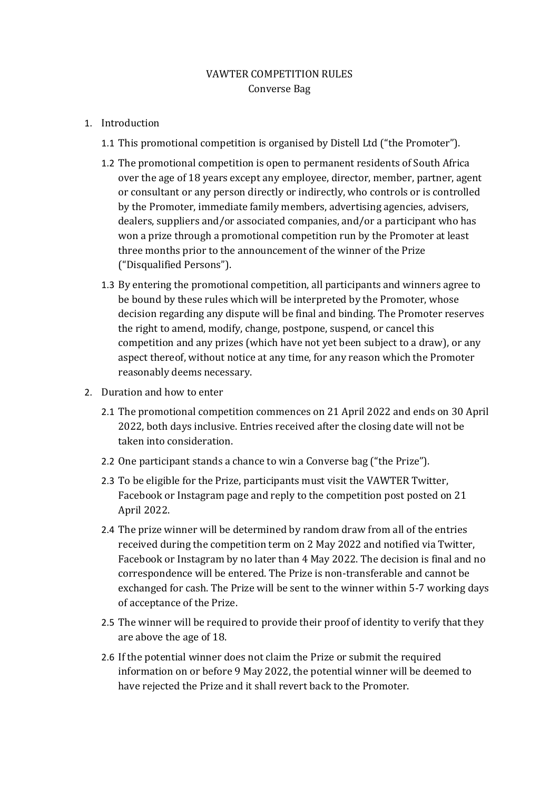## VAWTER COMPETITION RULES Converse Bag

- 1. Introduction
	- 1.1 This promotional competition is organised by Distell Ltd ("the Promoter").
	- 1.2 The promotional competition is open to permanent residents of South Africa over the age of 18 years except any employee, director, member, partner, agent or consultant or any person directly or indirectly, who controls or is controlled by the Promoter, immediate family members, advertising agencies, advisers, dealers, suppliers and/or associated companies, and/or a participant who has won a prize through a promotional competition run by the Promoter at least three months prior to the announcement of the winner of the Prize ("Disqualified Persons").
	- 1.3 By entering the promotional competition, all participants and winners agree to be bound by these rules which will be interpreted by the Promoter, whose decision regarding any dispute will be final and binding. The Promoter reserves the right to amend, modify, change, postpone, suspend, or cancel this competition and any prizes (which have not yet been subject to a draw), or any aspect thereof, without notice at any time, for any reason which the Promoter reasonably deems necessary.
- 2. Duration and how to enter
	- 2.1 The promotional competition commences on 21 April 2022 and ends on 30 April 2022, both days inclusive. Entries received after the closing date will not be taken into consideration.
	- 2.2 One participant stands a chance to win a Converse bag ("the Prize").
	- 2.3 To be eligible for the Prize, participants must visit the VAWTER Twitter, Facebook or Instagram page and reply to the competition post posted on 21 April 2022.
	- 2.4 The prize winner will be determined by random draw from all of the entries received during the competition term on 2 May 2022 and notified via Twitter, Facebook or Instagram by no later than 4 May 2022. The decision is final and no correspondence will be entered. The Prize is non-transferable and cannot be exchanged for cash. The Prize will be sent to the winner within 5-7 working days of acceptance of the Prize.
	- 2.5 The winner will be required to provide their proof of identity to verify that they are above the age of 18.
	- 2.6 If the potential winner does not claim the Prize or submit the required information on or before 9 May 2022, the potential winner will be deemed to have rejected the Prize and it shall revert back to the Promoter.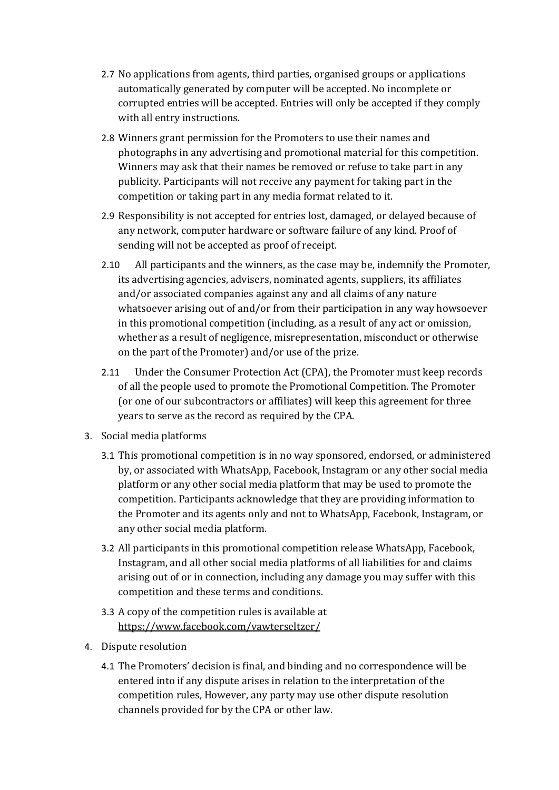- 2.7 No applications from agents, third parties, organised groups or applications automatically generated by computer will be accepted. No incomplete or corrupted entries will be accepted. Entries will only be accepted if they comply with all entry instructions.
- 2.8 Winners grant permission for the Promoters to use their names and photographs in any advertising and promotional material for this competition. Winners may ask that their names be removed or refuse to take part in any publicity. Participants will not receive any payment for taking part in the competition or taking part in any media format related to it.
- 2.9 Responsibility is not accepted for entries lost, damaged, or delayed because of any network, computer hardware or software failure of any kind. Proof of sending will not be accepted as proof of receipt.
- 2.10 All participants and the winners, as the case may be, indemnify the Promoter, its advertising agencies, advisers, nominated agents, suppliers, its affiliates and/or associated companies against any and all claims of any nature whatsoever arising out of and/or from their participation in any way howsoever in this promotional competition (including, as a result of any act or omission, whether as a result of negligence, misrepresentation, misconduct or otherwise on the part of the Promoter) and/or use of the prize.
- 2.11 Under the Consumer Protection Act (CPA), the Promoter must keep records of all the people used to promote the Promotional Competition. The Promoter (or one of our subcontractors or affiliates) will keep this agreement for three years to serve as the record as required by the CPA.
- 3. Social media platforms
	- 3.1 This promotional competition is in no way sponsored, endorsed, or administered by, or associated with WhatsApp, Facebook, Instagram or any other social media platform or any other social media platform that may be used to promote the competition. Participants acknowledge that they are providing information to the Promoter and its agents only and not to WhatsApp, Facebook, Instagram, or any other social media platform.
	- 3.2 All participants in this promotional competition release WhatsApp, Facebook, Instagram, and all other social media platforms of all liabilities for and claims arising out of or in connection, including any damage you may suffer with this competition and these terms and conditions.
	- 3.3 A copy of the competition rules is available at <https://www.facebook.com/vawterseltzer/>
- 4. Dispute resolution
	- 4.1 The Promoters' decision is final, and binding and no correspondence will be entered into if any dispute arises in relation to the interpretation of the competition rules, However, any party may use other dispute resolution channels provided for by the CPA or other law.